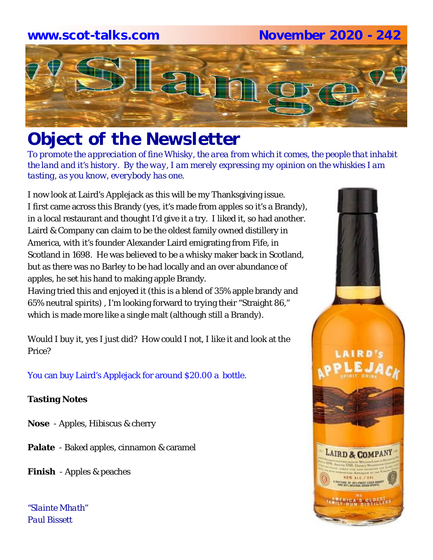#### **www.scot-talks.com November 2020 - 242**



### *Object of the Newsletter*

*To promote the appreciation of fine Whisky, the area from which it comes, the people that inhabit the land and it's history. By the way, I am merely expressing my opinion on the whiskies I am tasting, as you know, everybody has one.* 

I now look at Laird's Applejack as this will be my Thanksgiving issue. I first came across this Brandy (yes, it's made from apples so it's a Brandy), in a local restaurant and thought I'd give it a try. I liked it, so had another. Laird & Company can claim to be the oldest family owned distillery in America, with it's founder Alexander Laird emigrating from Fife, in Scotland in 1698. He was believed to be a whisky maker back in Scotland, but as there was no Barley to be had locally and an over abundance of apples, he set his hand to making apple Brandy.

Having tried this and enjoyed it (this is a blend of 35% apple brandy and 65% neutral spirits) , I'm looking forward to trying their "Straight 86," which is made more like a single malt (although still a Brandy).

Would I buy it, yes I just did? How could I not, I like it and look at the Price?

You can buy Laird's Applejack for around \$20.00 a bottle.

#### **Tasting Notes**

- **Nose**  Apples, Hibiscus & cherry
- **Palate**  Baked apples, cinnamon & caramel
- **Finish**  Apples & peaches

*"Slainte Mhath" Paul Bissett*

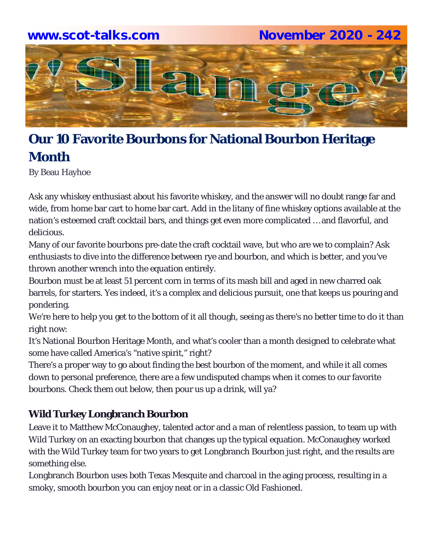## **www.scot-talks.com November 2020 - 242**Latin

#### **Our 10 Favorite Bourbons for National Bourbon Heritage Month**

By Beau Hayhoe

Ask any whiskey enthusiast about his favorite whiskey, and the answer will no doubt range far and wide, from home bar cart to home bar cart. Add in the litany of fine whiskey options available at the nation's esteemed craft cocktail bars, and things get even more complicated … and flavorful, and delicious.

Many of our favorite bourbons pre-date the craft cocktail wave, but who are we to complain? Ask enthusiasts to dive into the difference between rye and bourbon, and which is better, and you've thrown another wrench into the equation entirely.

Bourbon must be at least 51 percent corn in terms of its mash bill and aged in new charred oak barrels, for starters. Yes indeed, it's a complex and delicious pursuit, one that keeps us pouring and pondering.

We're here to help you get to the bottom of it all though, seeing as there's no better time to do it than right now:

It's National Bourbon Heritage Month, and what's cooler than a month designed to celebrate what some have called America's "native spirit," right?

There's a proper way to go about finding the best bourbon of the moment, and while it all comes down to personal preference, there are a few undisputed champs when it comes to our favorite bourbons. Check them out below, then pour us up a drink, will ya?

#### **Wild Turkey Longbranch Bourbon**

Leave it to Matthew McConaughey, talented actor and a man of relentless passion, to team up with Wild Turkey on an exacting bourbon that changes up the typical equation. McConaughey worked with the Wild Turkey team for two years to get Longbranch Bourbon just right, and the results are something else.

Longbranch Bourbon uses both Texas Mesquite and charcoal in the aging process, resulting in a smoky, smooth bourbon you can enjoy neat or in a classic Old Fashioned.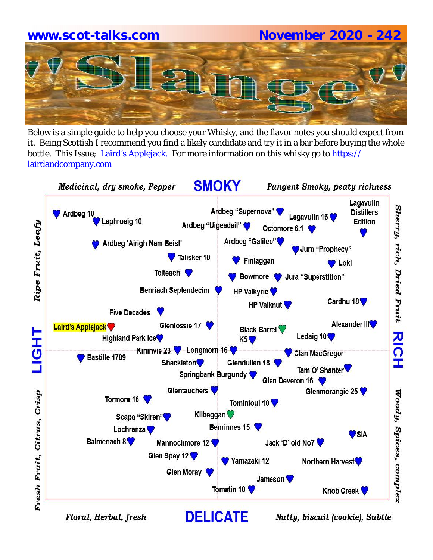# **www.scot-talks.com November 2020 - 242**

Below is a simple guide to help you choose your Whisky, and the flavor notes you should expect from it. Being Scottish I recommend you find a likely candidate and try it in a bar before buying the whole bottle. This Issue; Laird's Applejack. For more information on this whisky go to https:// lairdandcompany.com



Floral, Herbal, fresh

Nutty, biscuit (cookie), Subtle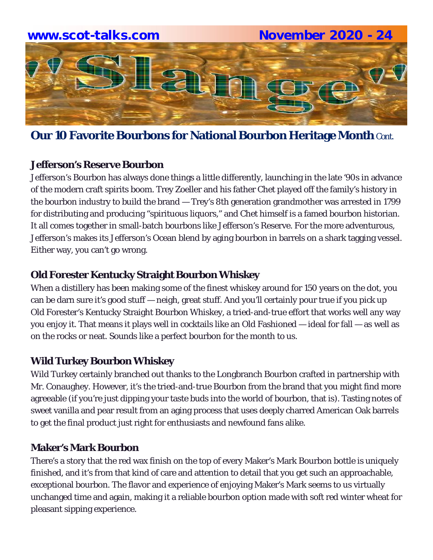

**Our 10 Favorite Bourbons for National Bourbon Heritage Month** Cont.

#### **Jefferson's Reserve Bourbon**

Jefferson's Bourbon has always done things a little differently, launching in the late '90s in advance of the modern craft spirits boom. Trey Zoeller and his father Chet played off the family's history in the bourbon industry to build the brand — Trey's 8th generation grandmother was arrested in 1799 for distributing and producing "spirituous liquors," and Chet himself is a famed bourbon historian. It all comes together in small-batch bourbons like Jefferson's Reserve. For the more adventurous, Jefferson's makes its Jefferson's Ocean blend by aging bourbon in barrels on a shark tagging vessel. Either way, you can't go wrong.

#### **Old Forester Kentucky Straight Bourbon Whiskey**

When a distillery has been making some of the finest whiskey around for 150 years on the dot, you can be darn sure it's good stuff — neigh, great stuff. And you'll certainly pour true if you pick up Old Forester's Kentucky Straight Bourbon Whiskey, a tried-and-true effort that works well any way you enjoy it. That means it plays well in cocktails like an Old Fashioned — ideal for fall — as well as on the rocks or neat. Sounds like a perfect bourbon for the month to us.

#### **Wild Turkey Bourbon Whiskey**

Wild Turkey certainly branched out thanks to the Longbranch Bourbon crafted in partnership with Mr. Conaughey. However, it's the tried-and-true Bourbon from the brand that you might find more agreeable (if you're just dipping your taste buds into the world of bourbon, that is). Tasting notes of sweet vanilla and pear result from an aging process that uses deeply charred American Oak barrels to get the final product just right for enthusiasts and newfound fans alike.

#### **Maker's Mark Bourbon**

There's a story that the red wax finish on the top of every Maker's Mark Bourbon bottle is uniquely finished, and it's from that kind of care and attention to detail that you get such an approachable, exceptional bourbon. The flavor and experience of enjoying Maker's Mark seems to us virtually unchanged time and again, making it a reliable bourbon option made with soft red winter wheat for pleasant sipping experience.